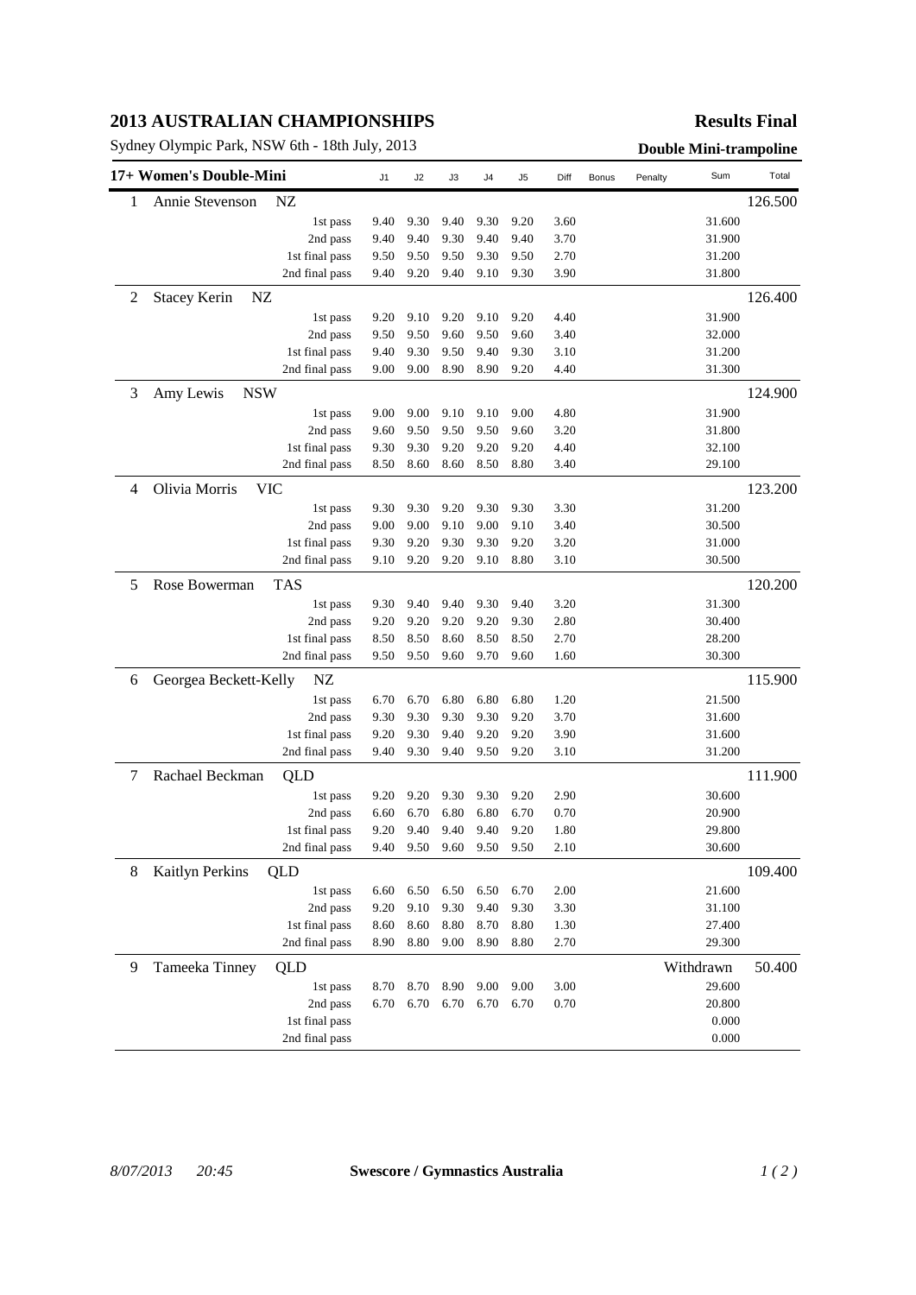## **2013 AUSTRALIAN CHAMPIONSHIPS**

Sydney Olympic Park, NSW 6th - 18th July, 2013<br> **Double Mini-trampoline** 

## **Results Final**

| 17+ Women's Double-Mini |                             |                                  | J1           | J2           | J3           | J4           | J5           | Diff         | Bonus | Penalty | Sum              | Total   |
|-------------------------|-----------------------------|----------------------------------|--------------|--------------|--------------|--------------|--------------|--------------|-------|---------|------------------|---------|
| 1                       | Annie Stevenson             | NZ                               |              |              |              |              |              |              |       |         |                  | 126.500 |
|                         |                             | 1st pass                         | 9.40         | 9.30         | 9.40         | 9.30         | 9.20         | 3.60         |       |         | 31.600           |         |
|                         |                             | 2nd pass                         | 9.40         | 9.40         | 9.30         | 9.40         | 9.40         | 3.70         |       |         | 31.900           |         |
|                         |                             | 1st final pass                   | 9.50         | 9.50         | 9.50         | 9.30         | 9.50         | 2.70         |       |         | 31.200           |         |
|                         |                             | 2nd final pass                   | 9.40         | 9.20         | 9.40         | 9.10         | 9.30         | 3.90         |       |         | 31.800           |         |
| 2                       | <b>Stacey Kerin</b><br>NZ   |                                  |              |              |              |              |              |              |       |         |                  | 126.400 |
|                         |                             | 1st pass                         | 9.20         | 9.10         | 9.20         | 9.10         | 9.20         | 4.40         |       |         | 31.900           |         |
|                         |                             | 2nd pass                         | 9.50         | 9.50         | 9.60         | 9.50         | 9.60         | 3.40         |       |         | 32.000           |         |
|                         |                             | 1st final pass                   | 9.40         | 9.30         | 9.50         | 9.40         | 9.30         | 3.10         |       |         | 31.200           |         |
|                         |                             | 2nd final pass                   | 9.00         | 9.00         | 8.90         | 8.90         | 9.20         | 4.40         |       |         | 31.300           |         |
| 3                       | Amy Lewis<br><b>NSW</b>     |                                  |              |              |              |              |              |              |       |         |                  | 124.900 |
|                         |                             | 1st pass                         | 9.00         | 9.00         | 9.10         | 9.10         | 9.00         | 4.80         |       |         | 31.900           |         |
|                         |                             | 2nd pass                         | 9.60         | 9.50         | 9.50         | 9.50         | 9.60         | 3.20         |       |         | 31.800           |         |
|                         |                             | 1st final pass                   | 9.30         | 9.30         | 9.20         | 9.20         | 9.20         | 4.40         |       |         | 32.100           |         |
|                         |                             | 2nd final pass                   | 8.50         | 8.60         | 8.60         | 8.50         | 8.80         | 3.40         |       |         | 29.100           |         |
| 4                       | Olivia Morris<br><b>VIC</b> |                                  |              |              |              |              |              |              |       |         |                  | 123.200 |
|                         |                             | 1st pass                         | 9.30         | 9.30         | 9.20         | 9.30         | 9.30         | 3.30         |       |         | 31.200           |         |
|                         |                             | 2nd pass                         | 9.00         | 9.00         | 9.10         | 9.00         | 9.10         | 3.40         |       |         | 30.500           |         |
|                         |                             | 1st final pass                   | 9.30         | 9.20         | 9.30         | 9.30         | 9.20         | 3.20         |       |         | 31.000           |         |
|                         |                             | 2nd final pass                   | 9.10         | 9.20         | 9.20         | 9.10         | 8.80         | 3.10         |       |         | 30.500           |         |
| 5                       | Rose Bowerman               | <b>TAS</b>                       |              |              |              |              |              |              |       |         |                  | 120.200 |
|                         |                             | 1st pass                         | 9.30         | 9.40         | 9.40         | 9.30         | 9.40         | 3.20         |       |         | 31.300           |         |
|                         |                             | 2nd pass                         | 9.20         | 9.20         | 9.20         | 9.20         | 9.30         | 2.80         |       |         | 30.400           |         |
|                         |                             | 1st final pass                   | 8.50         | 8.50         | 8.60         | 8.50         | 8.50         | 2.70         |       |         | 28.200           |         |
|                         |                             | 2nd final pass                   | 9.50         | 9.50         | 9.60         | 9.70         | 9.60         | 1.60         |       |         | 30.300           |         |
| 6                       | Georgea Beckett-Kelly       | NZ                               |              |              |              |              |              |              |       |         |                  | 115.900 |
|                         |                             | 1st pass                         | 6.70         | 6.70         | 6.80         | 6.80         | 6.80         | 1.20         |       |         | 21.500           |         |
|                         |                             | 2nd pass                         | 9.30         | 9.30         | 9.30         | 9.30         | 9.20         | 3.70         |       |         | 31.600           |         |
|                         |                             | 1st final pass                   | 9.20         | 9.30         | 9.40         | 9.20         | 9.20         | 3.90         |       |         | 31.600           |         |
|                         |                             | 2nd final pass                   | 9.40         | 9.30         | 9.40         | 9.50         | 9.20         | 3.10         |       |         | 31.200           |         |
| 7                       | Rachael Beckman             | QLD                              |              |              |              |              |              |              |       |         |                  | 111.900 |
|                         |                             | 1st pass                         | 9.20         | 9.20         | 9.30         | 9.30         | 9.20         | 2.90         |       |         | 30.600           |         |
|                         |                             | 2nd pass                         | 6.60         | 6.70         | 6.80         | 6.80         | 6.70         | 0.70         |       |         | 20.900           |         |
|                         |                             | 1st final pass                   | 9.20         | 9.40         | 9.40         | 9.40         | 9.20         | 1.80         |       |         | 29.800           |         |
|                         |                             | 2nd final pass                   | 9.40         | 9.50         | 9.60         | 9.50         | 9.50         | 2.10         |       |         | 30.600           |         |
| 8                       | Kaitlyn Perkins             | QLD                              |              |              |              |              |              |              |       |         |                  | 109.400 |
|                         |                             | 1st pass                         | 6.60         | 6.50         | 6.50         | 6.50         | 6.70         | 2.00         |       |         | 21.600           |         |
|                         |                             | 2nd pass                         | 9.20         | 9.10         | 9.30         | 9.40         | 9.30         | 3.30         |       |         | 31.100           |         |
|                         |                             | 1st final pass<br>2nd final pass | 8.60<br>8.90 | 8.60<br>8.80 | 8.80<br>9.00 | 8.70<br>8.90 | 8.80<br>8.80 | 1.30<br>2.70 |       |         | 27.400<br>29.300 |         |
|                         |                             |                                  |              |              |              |              |              |              |       |         |                  |         |
| 9                       | Tameeka Tinney              | <b>QLD</b>                       |              |              |              |              |              |              |       |         | Withdrawn        | 50.400  |
|                         |                             | 1st pass                         | 8.70         | 8.70         | 8.90         | 9.00         | 9.00         | 3.00         |       |         | 29.600           |         |
|                         |                             | 2nd pass                         | 6.70         | 6.70         | 6.70         | 6.70         | 6.70         | 0.70         |       |         | 20.800<br>0.000  |         |
|                         |                             | 1st final pass<br>2nd final pass |              |              |              |              |              |              |       |         | 0.000            |         |
|                         |                             |                                  |              |              |              |              |              |              |       |         |                  |         |